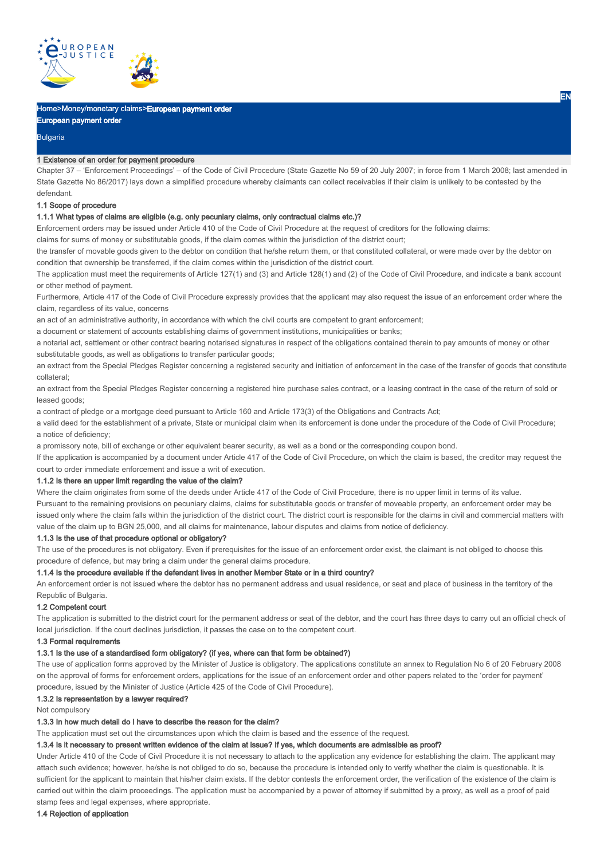

# Home>Money/monetary claims>European payment order

# European payment order

Bulgaria

#### 1 Existence of an order for payment procedure

Chapter 37 – 'Enforcement Proceedings' – of the Code of Civil Procedure (State Gazette No 59 of 20 July 2007; in force from 1 March 2008; last amended in State Gazette No 86/2017) lays down a simplified procedure whereby claimants can collect receivables if their claim is unlikely to be contested by the defendant.

#### 1.1 Scope of procedure

### 1.1.1 What types of claims are eligible (e.g. only pecuniary claims, only contractual claims etc.)?

Enforcement orders may be issued under Article 410 of the Code of Civil Procedure at the request of creditors for the following claims:

claims for sums of money or substitutable goods, if the claim comes within the jurisdiction of the district court;

the transfer of movable goods given to the debtor on condition that he/she return them, or that constituted collateral, or were made over by the debtor on condition that ownership be transferred, if the claim comes within the jurisdiction of the district court.

The application must meet the requirements of Article 127(1) and (3) and Article 128(1) and (2) of the Code of Civil Procedure, and indicate a bank account or other method of payment.

Furthermore, Article 417 of the Code of Civil Procedure expressly provides that the applicant may also request the issue of an enforcement order where the claim, regardless of its value, concerns

an act of an administrative authority, in accordance with which the civil courts are competent to grant enforcement;

a document or statement of accounts establishing claims of government institutions, municipalities or banks;

a notarial act, settlement or other contract bearing notarised signatures in respect of the obligations contained therein to pay amounts of money or other substitutable goods, as well as obligations to transfer particular goods;

an extract from the Special Pledges Register concerning a registered security and initiation of enforcement in the case of the transfer of goods that constitute collateral;

an extract from the Special Pledges Register concerning a registered hire purchase sales contract, or a leasing contract in the case of the return of sold or leased goods;

a contract of pledge or a mortgage deed pursuant to Article 160 and Article 173(3) of the Obligations and Contracts Act;

a valid deed for the establishment of a private, State or municipal claim when its enforcement is done under the procedure of the Code of Civil Procedure; a notice of deficiency;

a promissory note, bill of exchange or other equivalent bearer security, as well as a bond or the corresponding coupon bond.

If the application is accompanied by a document under Article 417 of the Code of Civil Procedure, on which the claim is based, the creditor may request the court to order immediate enforcement and issue a writ of execution.

### 1.1.2 Is there an upper limit regarding the value of the claim?

Where the claim originates from some of the deeds under Article 417 of the Code of Civil Procedure, there is no upper limit in terms of its value. Pursuant to the remaining provisions on pecuniary claims, claims for substitutable goods or transfer of moveable property, an enforcement order may be issued only where the claim falls within the jurisdiction of the district court. The district court is responsible for the claims in civil and commercial matters with value of the claim up to BGN 25,000, and all claims for maintenance, labour disputes and claims from notice of deficiency.

### 1.1.3 Is the use of that procedure optional or obligatory?

The use of the procedures is not obligatory. Even if prerequisites for the issue of an enforcement order exist, the claimant is not obliged to choose this procedure of defence, but may bring a claim under the general claims procedure.

### 1.1.4 Is the procedure available if the defendant lives in another Member State or in a third country?

An enforcement order is not issued where the debtor has no permanent address and usual residence, or seat and place of business in the territory of the Republic of Bulgaria.

#### 1.2 Competent court

The application is submitted to the district court for the permanent address or seat of the debtor, and the court has three days to carry out an official check of local jurisdiction. If the court declines jurisdiction, it passes the case on to the competent court.

### 1.3 Formal requirements

# 1.3.1 Is the use of a standardised form obligatory? (if yes, where can that form be obtained?)

The use of application forms approved by the Minister of Justice is obligatory. The applications constitute an annex to Regulation No 6 of 20 February 2008 on the approval of forms for enforcement orders, applications for the issue of an enforcement order and other papers related to the 'order for payment' procedure, issued by the Minister of Justice (Article 425 of the Code of Civil Procedure).

#### 1.3.2 Is representation by a lawyer required?

Not compulsory

# 1.3.3 In how much detail do I have to describe the reason for the claim?

The application must set out the circumstances upon which the claim is based and the essence of the request.

# 1.3.4 Is it necessary to present written evidence of the claim at issue? If yes, which documents are admissible as proof?

Under Article 410 of the Code of Civil Procedure it is not necessary to attach to the application any evidence for establishing the claim. The applicant may attach such evidence; however, he/she is not obliged to do so, because the procedure is intended only to verify whether the claim is questionable. It is sufficient for the applicant to maintain that his/her claim exists. If the debtor contests the enforcement order, the verification of the existence of the claim is carried out within the claim proceedings. The application must be accompanied by a power of attorney if submitted by a proxy, as well as a proof of paid stamp fees and legal expenses, where appropriate.